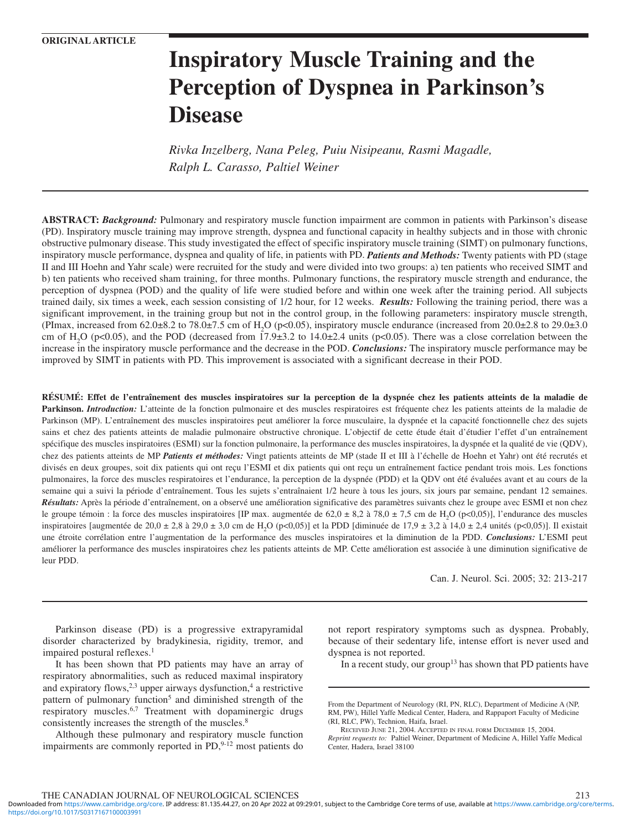# **Inspiratory Muscle Training and the Perception of Dyspnea in Parkinson's Disease**

*Rivka Inzelberg, Nana Peleg, Puiu Nisipeanu, Rasmi Magadle, Ralph L. Carasso, Paltiel Weiner*

**ABSTRACT:** *Background:* Pulmonary and respiratory muscle function impairment are common in patients with Parkinson's disease (PD). Inspiratory muscle training may improve strength, dyspnea and functional capacity in healthy subjects and in those with chronic obstructive pulmonary disease. This study investigated the effect of specific inspiratory muscle training (SIMT) on pulmonary functions, inspiratory muscle performance, dyspnea and quality of life, in patients with PD. *Patients and Methods:* Twenty patients with PD (stage II and III Hoehn and Yahr scale) were recruited for the study and were divided into two groups: a) ten patients who received SIMT and b) ten patients who received sham training, for three months. Pulmonary functions, the respiratory muscle strength and endurance, the perception of dyspnea (POD) and the quality of life were studied before and within one week after the training period. All subjects trained daily, six times a week, each session consisting of 1/2 hour, for 12 weeks. *Results:* Following the training period, there was a significant improvement, in the training group but not in the control group, in the following parameters: inspiratory muscle strength, (PImax, increased from  $62.0\pm8.2$  to  $78.0\pm7.5$  cm of H<sub>2</sub>O (p<0.05), inspiratory muscle endurance (increased from  $20.0\pm2.8$  to  $29.0\pm3.0$ cm of H<sub>2</sub>O (p<0.05), and the POD (decreased from 17.9 $\pm$ 3.2 to 14.0 $\pm$ 2.4 units (p<0.05). There was a close correlation between the increase in the inspiratory muscle performance and the decrease in the POD. *Conclusions:* The inspiratory muscle performance may be improved by SIMT in patients with PD. This improvement is associated with a significant decrease in their POD.

**RÉSUMÉ: Effet de l'entraînement des muscles inspiratoires sur la perception de la dyspnée chez les patients atteints de la maladie de** Parkinson. *Introduction:* L'atteinte de la fonction pulmonaire et des muscles respiratoires est fréquente chez les patients atteints de la maladie de Parkinson (MP). L'entraînement des muscles inspiratoires peut améliorer la force musculaire, la dyspnée et la capacité fonctionnelle chez des sujets sains et chez des patients atteints de maladie pulmonaire obstructive chronique. L'objectif de cette étude était d'étudier l'effet d'un entraînement spécifique des muscles inspiratoires (ESMI) sur la fonction pulmonaire, la performance des muscles inspiratoires, la dyspnée et la qualité de vie (QDV), chez des patients atteints de MP *Patients et méthodes:* Vingt patients atteints de MP (stade II et III à l'échelle de Hoehn et Yahr) ont été recrutés et divisés en deux groupes, soit dix patients qui ont reçu l'ESMI et dix patients qui ont reçu un entraînement factice pendant trois mois. Les fonctions pulmonaires, la force des muscles respiratoires et l'endurance, la perception de la dyspnée (PDD) et la QDV ont été évaluées avant et au cours de la semaine qui a suivi la période d'entraînement. Tous les sujets s'entraînaient 1/2 heure à tous les jours, six jours par semaine, pendant 12 semaines. *Résultats:* Après la période d'entraînement, on a observé une amélioration significative des paramètres suivants chez le groupe avec ESMI et non chez le groupe témoin : la force des muscles inspiratoires [IP max. augmentée de  $62.0 \pm 8.2$  à  $78.0 \pm 7.5$  cm de  $H_2O$  (p<0.05)], l'endurance des muscles inspiratoires [augmentée de 20,0 ± 2,8 à 29,0 ± 3,0 cm de H<sub>2</sub>O (p<0,05)] et la PDD [diminuée de 17,9 ± 3,2 à 14,0 ± 2,4 unités (p<0,05)]. Il existait une étroite corrélation entre l'augmentation de la performance des muscles inspiratoires et la diminution de la PDD. *Conclusions:* L'ESMI peut améliorer la performance des muscles inspiratoires chez les patients atteints de MP. Cette amélioration est associée à une diminution significative de leur PDD.

Can. J. Neurol. Sci. 2005; 32: 213-217

**CME Choice www.ccns.org**

Parkinson disease (PD) is a progressive extrapyramidal disorder characterized by bradykinesia, rigidity, tremor, and impaired postural reflexes.<sup>1</sup>

It has been shown that PD patients may have an array of respiratory abnormalities, such as reduced maximal inspiratory and expiratory flows, $2,3$  upper airways dysfunction,<sup>4</sup> a restrictive pattern of pulmonary function<sup>5</sup> and diminished strength of the respiratory muscles.<sup>6,7</sup> Treatment with dopaminergic drugs consistently increases the strength of the muscles.<sup>8</sup>

Although these pulmonary and respiratory muscle function impairments are commonly reported in PD,<sup>9-12</sup> most patients do

not report respiratory symptoms such as dyspnea. Probably, because of their sedentary life, intense effort is never used and dyspnea is not reported.

In a recent study, our group<sup>13</sup> has shown that PD patients have

From the Department of Neurology (RI, PN, RLC), Department of Medicine A (NP, RM, PW), Hillel Yaffe Medical Center, Hadera, and Rappaport Faculty of Medicine (RI, RLC, PW), Technion, Haifa, Israel.

RECEIVED JUNE 21, 2004. ACCEPTED IN FINAL FORM DECEMBER 15, 2004. *Reprint requests to:* Paltiel Weiner, Department of Medicine A, Hillel Yaffe Medical Center, Hadera, Israel 38100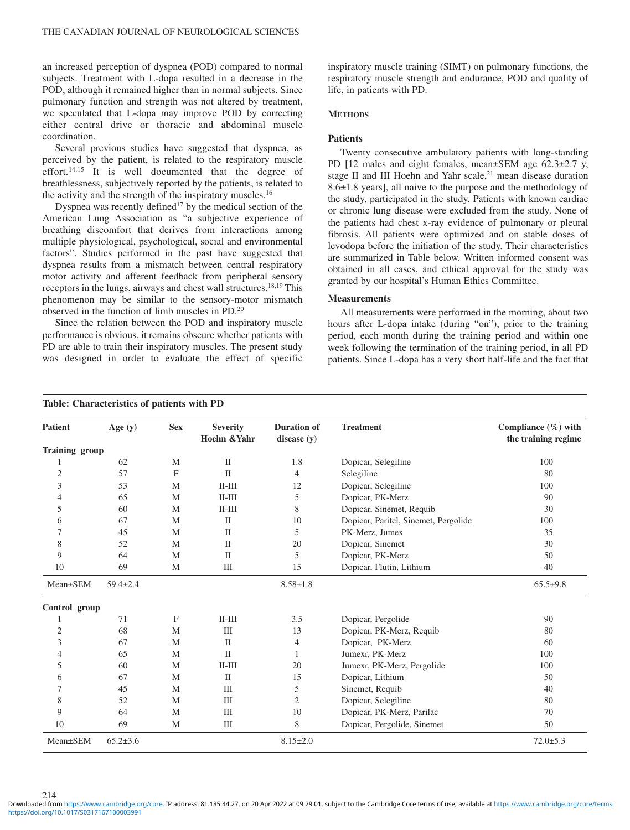an increased perception of dyspnea (POD) compared to normal subjects. Treatment with L-dopa resulted in a decrease in the POD, although it remained higher than in normal subjects. Since pulmonary function and strength was not altered by treatment, we speculated that L-dopa may improve POD by correcting either central drive or thoracic and abdominal muscle coordination.

Several previous studies have suggested that dyspnea, as perceived by the patient, is related to the respiratory muscle effort.<sup>14,15</sup> It is well documented that the degree of breathlessness, subjectively reported by the patients, is related to the activity and the strength of the inspiratory muscles.<sup>16</sup>

Dyspnea was recently defined<sup>17</sup> by the medical section of the American Lung Association as "a subjective experience of breathing discomfort that derives from interactions among multiple physiological, psychological, social and environmental factors". Studies performed in the past have suggested that dyspnea results from a mismatch between central respiratory motor activity and afferent feedback from peripheral sensory receptors in the lungs, airways and chest wall structures.18,19 This phenomenon may be similar to the sensory-motor mismatch observed in the function of limb muscles in PD.20

Since the relation between the POD and inspiratory muscle performance is obvious, it remains obscure whether patients with PD are able to train their inspiratory muscles. The present study was designed in order to evaluate the effect of specific

**Table: Characteristics of patients with PD**

inspiratory muscle training (SIMT) on pulmonary functions, the respiratory muscle strength and endurance, POD and quality of life, in patients with PD.

## **METHODS**

## **Patients**

Twenty consecutive ambulatory patients with long-standing PD [12 males and eight females, mean±SEM age 62.3±2.7 y, stage II and III Hoehn and Yahr scale, $21$  mean disease duration 8.6±1.8 years], all naive to the purpose and the methodology of the study, participated in the study. Patients with known cardiac or chronic lung disease were excluded from the study. None of the patients had chest x-ray evidence of pulmonary or pleural fibrosis. All patients were optimized and on stable doses of levodopa before the initiation of the study. Their characteristics are summarized in Table below. Written informed consent was obtained in all cases, and ethical approval for the study was granted by our hospital's Human Ethics Committee.

### **Measurements**

All measurements were performed in the morning, about two hours after L-dopa intake (during "on"), prior to the training period, each month during the training period and within one week following the termination of the training period, in all PD patients. Since L-dopa has a very short half-life and the fact that

| <b>Patient</b>        | Age $(y)$      | <b>Sex</b>   | <b>Severity</b><br>Hoehn & Yahr | <b>Duration of</b><br>disease $(y)$ | <b>Treatment</b>                     | Compliance $(\%)$ with<br>the training regime |
|-----------------------|----------------|--------------|---------------------------------|-------------------------------------|--------------------------------------|-----------------------------------------------|
| <b>Training group</b> |                |              |                                 |                                     |                                      |                                               |
| 1                     | 62             | M            | $\mathbf{I}$                    | 1.8                                 | Dopicar, Selegiline                  | 100                                           |
| $\mathfrak{2}$        | 57             | $\mathbf{F}$ | $\mathbf{I}$                    | $\overline{4}$                      | Selegiline                           | 80                                            |
| 3                     | 53             | M            | $II-III$                        | 12                                  | Dopicar, Selegiline                  | 100                                           |
| 4                     | 65             | M            | $II-III$                        | 5                                   | Dopicar, PK-Merz                     | 90                                            |
| 5                     | 60             | M            | $II-III$                        | 8                                   | Dopicar, Sinemet, Requib             | 30                                            |
| 6                     | 67             | M            | $\mathbf{I}$                    | 10                                  | Dopicar, Paritel, Sinemet, Pergolide | 100                                           |
| 7                     | 45             | M            | $\mathbf{I}$                    | 5                                   | PK-Merz, Jumex                       | 35                                            |
| 8                     | 52             | M            | $\mathbf{I}$                    | 20                                  | Dopicar, Sinemet                     | 30                                            |
| 9                     | 64             | M            | $\mathbf{I}$                    | 5                                   | Dopicar, PK-Merz                     | 50                                            |
| 10                    | 69             | M            | III                             | 15                                  | Dopicar, Flutin, Lithium             | 40                                            |
| Mean±SEM              | $59.4 \pm 2.4$ |              |                                 | $8.58 \pm 1.8$                      |                                      | $65.5+9.8$                                    |
| Control group         |                |              |                                 |                                     |                                      |                                               |
|                       | 71             | F            | $II-III$                        | 3.5                                 | Dopicar, Pergolide                   | 90                                            |
| $\boldsymbol{2}$      | 68             | M            | III                             | 13                                  | Dopicar, PK-Merz, Requib             | 80                                            |
| 3                     | 67             | M            | $\mathbf{I}$                    | 4                                   | Dopicar, PK-Merz                     | 60                                            |
| 4                     | 65             | M            | $\mathbf{I}$                    | 1                                   | Jumexr, PK-Merz                      | 100                                           |
| 5                     | 60             | M            | $II-III$                        | 20                                  | Jumexr, PK-Merz, Pergolide           | 100                                           |
| 6                     | 67             | M            | $\mathbf{H}$                    | 15                                  | Dopicar, Lithium                     | 50                                            |
| 7                     | 45             | M            | III                             | 5                                   | Sinemet, Requib                      | 40                                            |
| 8                     | 52             | M            | III                             | 2                                   | Dopicar, Selegiline                  | 80                                            |
| 9                     | 64             | M            | Ш                               | 10                                  | Dopicar, PK-Merz, Parilac            | 70                                            |
| 10                    | 69             | M            | Ш                               | 8                                   | Dopicar, Pergolide, Sinemet          | 50                                            |
| Mean±SEM              | $65.2 \pm 3.6$ |              |                                 | $8.15 \pm 2.0$                      |                                      | $72.0 \pm 5.3$                                |

214

<https://doi.org/10.1017/S0317167100003991> Downloaded from<https://www.cambridge.org/core>. IP address: 81.135.44.27, on 20 Apr 2022 at 09:29:01, subject to the Cambridge Core terms of use, available at <https://www.cambridge.org/core/terms>.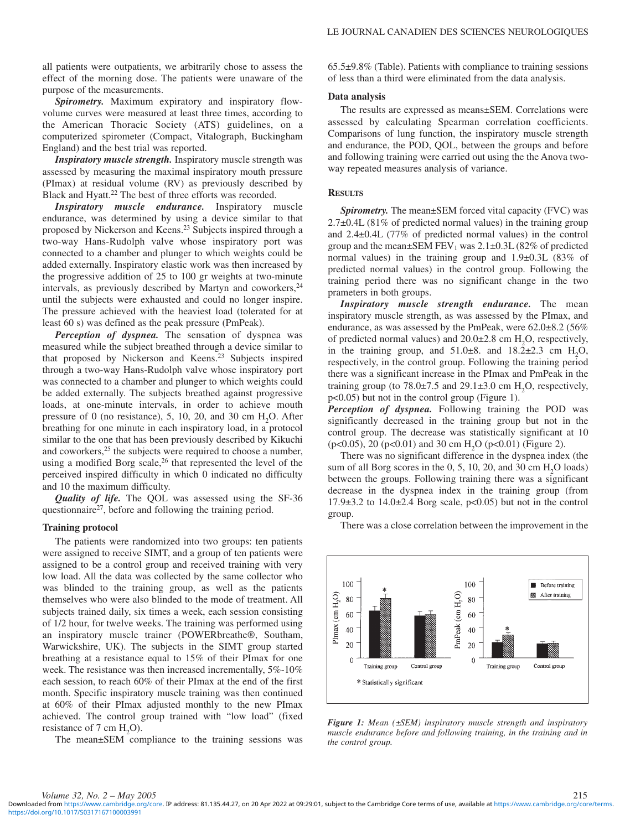all patients were outpatients, we arbitrarily chose to assess the effect of the morning dose. The patients were unaware of the purpose of the measurements.

*Spirometry.* Maximum expiratory and inspiratory flowvolume curves were measured at least three times, according to the American Thoracic Society (ATS) guidelines, on a computerized spirometer (Compact, Vitalograph, Buckingham England) and the best trial was reported.

*Inspiratory muscle strength.* Inspiratory muscle strength was assessed by measuring the maximal inspiratory mouth pressure (PImax) at residual volume (RV) as previously described by Black and Hyatt.<sup>22</sup> The best of three efforts was recorded.

*Inspiratory muscle endurance.* Inspiratory muscle endurance, was determined by using a device similar to that proposed by Nickerson and Keens.23 Subjects inspired through a two-way Hans-Rudolph valve whose inspiratory port was connected to a chamber and plunger to which weights could be added externally. Inspiratory elastic work was then increased by the progressive addition of 25 to 100 gr weights at two-minute intervals, as previously described by Martyn and coworkers, $24$ until the subjects were exhausted and could no longer inspire. The pressure achieved with the heaviest load (tolerated for at least 60 s) was defined as the peak pressure (PmPeak).

*Perception of dyspnea.* The sensation of dyspnea was measured while the subject breathed through a device similar to that proposed by Nickerson and Keens.23 Subjects inspired through a two-way Hans-Rudolph valve whose inspiratory port was connected to a chamber and plunger to which weights could be added externally. The subjects breathed against progressive loads, at one-minute intervals, in order to achieve mouth pressure of 0 (no resistance), 5, 10, 20, and 30 cm  $H<sub>2</sub>O$ . After breathing for one minute in each inspiratory load, in a protocol similar to the one that has been previously described by Kikuchi and coworkers,<sup>25</sup> the subjects were required to choose a number, using a modified Borg scale,<sup>26</sup> that represented the level of the perceived inspired difficulty in which 0 indicated no difficulty and 10 the maximum difficulty.

*Quality of life.* The QOL was assessed using the SF-36 questionnaire<sup>27</sup>, before and following the training period.

#### **Training protocol**

The patients were randomized into two groups: ten patients were assigned to receive SIMT, and a group of ten patients were assigned to be a control group and received training with very low load. All the data was collected by the same collector who was blinded to the training group, as well as the patients themselves who were also blinded to the mode of treatment. All subjects trained daily, six times a week, each session consisting of 1/2 hour, for twelve weeks. The training was performed using an inspiratory muscle trainer (POWERbreathe®, Southam, Warwickshire, UK). The subjects in the SIMT group started breathing at a resistance equal to 15% of their PImax for one week. The resistance was then increased incrementally, 5%-10% each session, to reach 60% of their PImax at the end of the first month. Specific inspiratory muscle training was then continued at 60% of their PImax adjusted monthly to the new PImax achieved. The control group trained with "low load" (fixed resistance of  $7 \text{ cm H}_2\text{O}$ .

The mean±SEM compliance to the training sessions was

65.5±9.8% (Table). Patients with compliance to training sessions of less than a third were eliminated from the data analysis.

#### **Data analysis**

The results are expressed as means±SEM. Correlations were assessed by calculating Spearman correlation coefficients. Comparisons of lung function, the inspiratory muscle strength and endurance, the POD, QOL, between the groups and before and following training were carried out using the the Anova twoway repeated measures analysis of variance.

#### **RESULTS**

*Spirometry.* The mean±SEM forced vital capacity (FVC) was 2.7±0.4L (81% of predicted normal values) in the training group and 2.4±0.4L (77% of predicted normal values) in the control group and the mean $\pm$ SEM FEV<sub>1</sub> was 2.1 $\pm$ 0.3L (82% of predicted normal values) in the training group and 1.9±0.3L (83% of predicted normal values) in the control group. Following the training period there was no significant change in the two prameters in both groups.

*Inspiratory muscle strength endurance.* The mean inspiratory muscle strength, as was assessed by the PImax, and endurance, as was assessed by the PmPeak, were 62.0±8.2 (56% of predicted normal values) and  $20.0\pm 2.8$  cm  $H_2O$ , respectively, in the training group, and  $51.0\pm8$ . and  $18.2\pm2.3$  cm  $H_2O$ , respectively, in the control group. Following the training period there was a significant increase in the PImax and PmPeak in the training group (to  $78.0\pm7.5$  and  $29.1\pm3.0$  cm  $H_2O$ , respectively, p<0.05) but not in the control group (Figure 1).

*Perception of dyspnea.* Following training the POD was significantly decreased in the training group but not in the control group. The decrease was statistically significant at 10  $(p<0.05)$ , 20 ( $p<0.01$ ) and 30 cm H<sub>2</sub>O ( $p<0.01$ ) (Figure 2).

There was no significant difference in the dyspnea index (the sum of all Borg scores in the 0, 5, 10, 20, and 30 cm  $H_2O$  loads) between the groups. Following training there was a significant decrease in the dyspnea index in the training group (from  $17.9\pm3.2$  to  $14.0\pm2.4$  Borg scale,  $p<0.05$ ) but not in the control group.

There was a close correlation between the improvement in the



*Figure 1: Mean (±SEM) inspiratory muscle strength and inspiratory muscle endurance before and following training, in the training and in the control group.*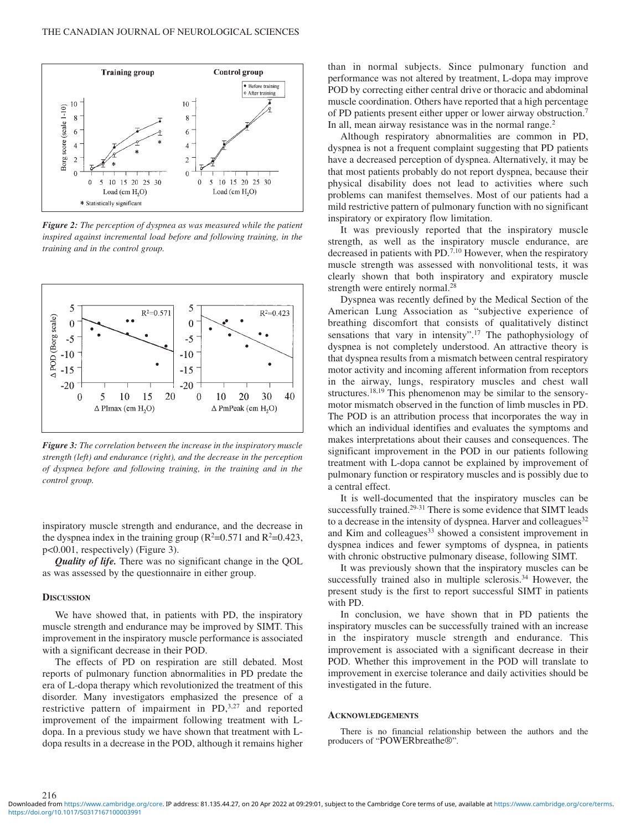

*Figure 2: The perception of dyspnea as was measured while the patient inspired against incremental load before and following training, in the training and in the control group.*



*Figure 3: The correlation between the increase in the inspiratory muscle strength (left) and endurance (right), and the decrease in the perception of dyspnea before and following training, in the training and in the control group.*

inspiratory muscle strength and endurance, and the decrease in the dyspnea index in the training group  $(R^2=0.571$  and  $R^2=0.423$ , p<0.001, respectively) (Figure 3).

*Quality of life.* There was no significant change in the QOL as was assessed by the questionnaire in either group.

#### **DISCUSSION**

216

We have showed that, in patients with PD, the inspiratory muscle strength and endurance may be improved by SIMT. This improvement in the inspiratory muscle performance is associated with a significant decrease in their POD.

The effects of PD on respiration are still debated. Most reports of pulmonary function abnormalities in PD predate the era of L-dopa therapy which revolutionized the treatment of this disorder. Many investigators emphasized the presence of a restrictive pattern of impairment in PD,<sup>3,27</sup> and reported improvement of the impairment following treatment with Ldopa. In a previous study we have shown that treatment with Ldopa results in a decrease in the POD, although it remains higher

than in normal subjects. Since pulmonary function and performance was not altered by treatment, L-dopa may improve POD by correcting either central drive or thoracic and abdominal muscle coordination. Others have reported that a high percentage of PD patients present either upper or lower airway obstruction.7 In all, mean airway resistance was in the normal range.<sup>2</sup>

Although respiratory abnormalities are common in PD, dyspnea is not a frequent complaint suggesting that PD patients have a decreased perception of dyspnea. Alternatively, it may be that most patients probably do not report dyspnea, because their physical disability does not lead to activities where such problems can manifest themselves. Most of our patients had a mild restrictive pattern of pulmonary function with no significant inspiratory or expiratory flow limitation.

It was previously reported that the inspiratory muscle strength, as well as the inspiratory muscle endurance, are decreased in patients with PD.<sup>7,10</sup> However, when the respiratory muscle strength was assessed with nonvolitional tests, it was clearly shown that both inspiratory and expiratory muscle strength were entirely normal.<sup>28</sup>

Dyspnea was recently defined by the Medical Section of the American Lung Association as "subjective experience of breathing discomfort that consists of qualitatively distinct sensations that vary in intensity".<sup>17</sup> The pathophysiology of dyspnea is not completely understood. An attractive theory is that dyspnea results from a mismatch between central respiratory motor activity and incoming afferent information from receptors in the airway, lungs, respiratory muscles and chest wall structures.18,19 This phenomenon may be similar to the sensorymotor mismatch observed in the function of limb muscles in PD. The POD is an attribution process that incorporates the way in which an individual identifies and evaluates the symptoms and makes interpretations about their causes and consequences. The significant improvement in the POD in our patients following treatment with L-dopa cannot be explained by improvement of pulmonary function or respiratory muscles and is possibly due to a central effect.

It is well-documented that the inspiratory muscles can be successfully trained.<sup>29-31</sup> There is some evidence that SIMT leads to a decrease in the intensity of dyspnea. Harver and colleagues<sup>32</sup> and Kim and colleagues<sup>33</sup> showed a consistent improvement in dyspnea indices and fewer symptoms of dyspnea, in patients with chronic obstructive pulmonary disease, following SIMT.

It was previously shown that the inspiratory muscles can be successfully trained also in multiple sclerosis.<sup>34</sup> However, the present study is the first to report successful SIMT in patients with PD.

In conclusion, we have shown that in PD patients the inspiratory muscles can be successfully trained with an increase in the inspiratory muscle strength and endurance. This improvement is associated with a significant decrease in their POD. Whether this improvement in the POD will translate to improvement in exercise tolerance and daily activities should be investigated in the future.

#### **ACKNOWLEDGEMENTS**

There is no financial relationship between the authors and the producers of "POWERbreathe®".